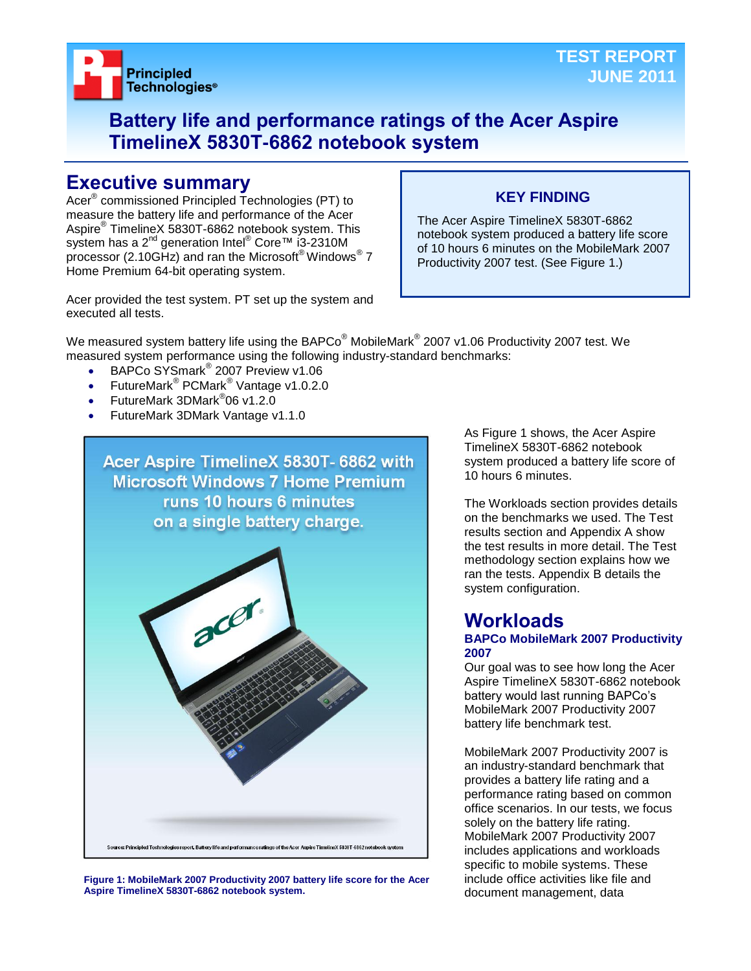

## **Battery life and performance ratings of the Acer Aspire TimelineX 5830T-6862 notebook system**

## **Executive summary**

Acer® commissioned Principled Technologies (PT) to measure the battery life and performance of the Acer Aspire® TimelineX 5830T-6862 notebook system. This system has a 2<sup>nd</sup> generation Intel<sup>®</sup> Core™ i3-2310M processor (2.10GHz) and ran the Microsoft® Windows® 7 Home Premium 64-bit operating system.

## **KEY FINDING**

The Acer Aspire TimelineX 5830T-6862 notebook system produced a battery life score of 10 hours 6 minutes on the MobileMark 2007 Productivity 2007 test. (See Figure 1.)

Acer provided the test system. PT set up the system and executed all tests.

We measured system battery life using the BAPCo $^\circ$  MobileMark $^\circ$  2007 v1.06 Productivity 2007 test. We measured system performance using the following industry-standard benchmarks:

- BAPCo SYSmark<sup>®</sup> 2007 Preview v1.06
- FutureMark<sup>®</sup> PCMark<sup>®</sup> Vantage v1.0.2.0
- FutureMark 3DMark<sup>®</sup>06 v1.2.0
- FutureMark 3DMark Vantage v1.1.0



**Figure 1: MobileMark 2007 Productivity 2007 battery life score for the Acer Aspire TimelineX 5830T-6862 notebook system.**

As Figure 1 shows, the Acer Aspire TimelineX 5830T-6862 notebook system produced a battery life score of 10 hours 6 minutes.

The Workloads section provides details on the benchmarks we used. The Test results section and Appendix A show the test results in more detail. The Test methodology section explains how we ran the tests. Appendix B details the system configuration.

## **Workloads**

## **BAPCo MobileMark 2007 Productivity 2007**

Our goal was to see how long the Acer Aspire TimelineX 5830T-6862 notebook battery would last running BAPCo's MobileMark 2007 Productivity 2007 battery life benchmark test.

MobileMark 2007 Productivity 2007 is an industry-standard benchmark that provides a battery life rating and a performance rating based on common office scenarios. In our tests, we focus solely on the battery life rating. MobileMark 2007 Productivity 2007 includes applications and workloads specific to mobile systems. These include office activities like file and document management, data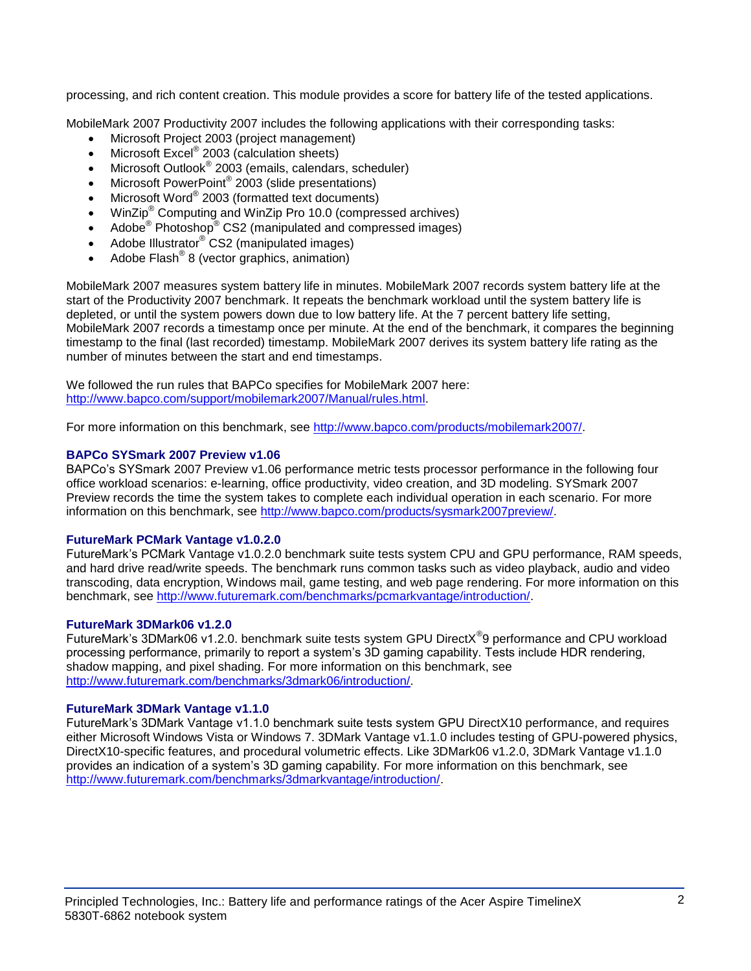processing, and rich content creation. This module provides a score for battery life of the tested applications.

MobileMark 2007 Productivity 2007 includes the following applications with their corresponding tasks:

- Microsoft Project 2003 (project management)
- $\bullet$  Microsoft Excel® 2003 (calculation sheets)
- Microsoft Outlook<sup>®</sup> 2003 (emails, calendars, scheduler)
- Microsoft PowerPoint® 2003 (slide presentations)
- Microsoft Word® 2003 (formatted text documents)
- WinZip® Computing and WinZip Pro 10.0 (compressed archives)
- Adobe<sup>®</sup> Photoshop<sup>®</sup> CS2 (manipulated and compressed images)
- Adobe Illustrator® CS2 (manipulated images)
- $\bullet$  Adobe Flash<sup>®</sup> 8 (vector graphics, animation)

MobileMark 2007 measures system battery life in minutes. MobileMark 2007 records system battery life at the start of the Productivity 2007 benchmark. It repeats the benchmark workload until the system battery life is depleted, or until the system powers down due to low battery life. At the 7 percent battery life setting, MobileMark 2007 records a timestamp once per minute. At the end of the benchmark, it compares the beginning timestamp to the final (last recorded) timestamp. MobileMark 2007 derives its system battery life rating as the number of minutes between the start and end timestamps.

We followed the run rules that BAPCo specifies for MobileMark 2007 here: [http://www.bapco.com/support/mobilemark2007/Manual/rules.html.](http://www.bapco.com/support/mobilemark2007/Manual/rules.html)

For more information on this benchmark, see [http://www.bapco.com/products/mobilemark2007/.](http://www.bapco.com/products/mobilemark2007/)

### **BAPCo SYSmark 2007 Preview v1.06**

BAPCo's SYSmark 2007 Preview v1.06 performance metric tests processor performance in the following four office workload scenarios: e-learning, office productivity, video creation, and 3D modeling. SYSmark 2007 Preview records the time the system takes to complete each individual operation in each scenario. For more information on this benchmark, see [http://www.bapco.com/products/sysmark2007preview/.](http://www.bapco.com/products/sysmark2007preview/)

#### **FutureMark PCMark Vantage v1.0.2.0**

FutureMark's PCMark Vantage v1.0.2.0 benchmark suite tests system CPU and GPU performance, RAM speeds, and hard drive read/write speeds. The benchmark runs common tasks such as video playback, audio and video transcoding, data encryption, Windows mail, game testing, and web page rendering. For more information on this benchmark, see [http://www.futuremark.com/benchmarks/pcmarkvantage/introduction/.](http://www.futuremark.com/benchmarks/pcmarkvantage/introduction/)

#### **FutureMark 3DMark06 v1.2.0**

FutureMark's 3DMark06 v1.2.0. benchmark suite tests system GPU DirectX<sup>®</sup>9 performance and CPU workload processing performance, primarily to report a system's 3D gaming capability. Tests include HDR rendering, shadow mapping, and pixel shading. For more information on this benchmark, see [http://www.futuremark.com/benchmarks/3dmark06/introduction/.](http://www.futuremark.com/benchmarks/3dmark06/introduction/)

## **FutureMark 3DMark Vantage v1.1.0**

FutureMark's 3DMark Vantage v1.1.0 benchmark suite tests system GPU DirectX10 performance, and requires either Microsoft Windows Vista or Windows 7. 3DMark Vantage v1.1.0 includes testing of GPU-powered physics, DirectX10-specific features, and procedural volumetric effects. Like 3DMark06 v1.2.0, 3DMark Vantage v1.1.0 provides an indication of a system's 3D gaming capability. For more information on this benchmark, see [http://www.futuremark.com/benchmarks/3dmarkvantage/introduction/.](http://www.futuremark.com/benchmarks/3dmarkvantage/introduction/)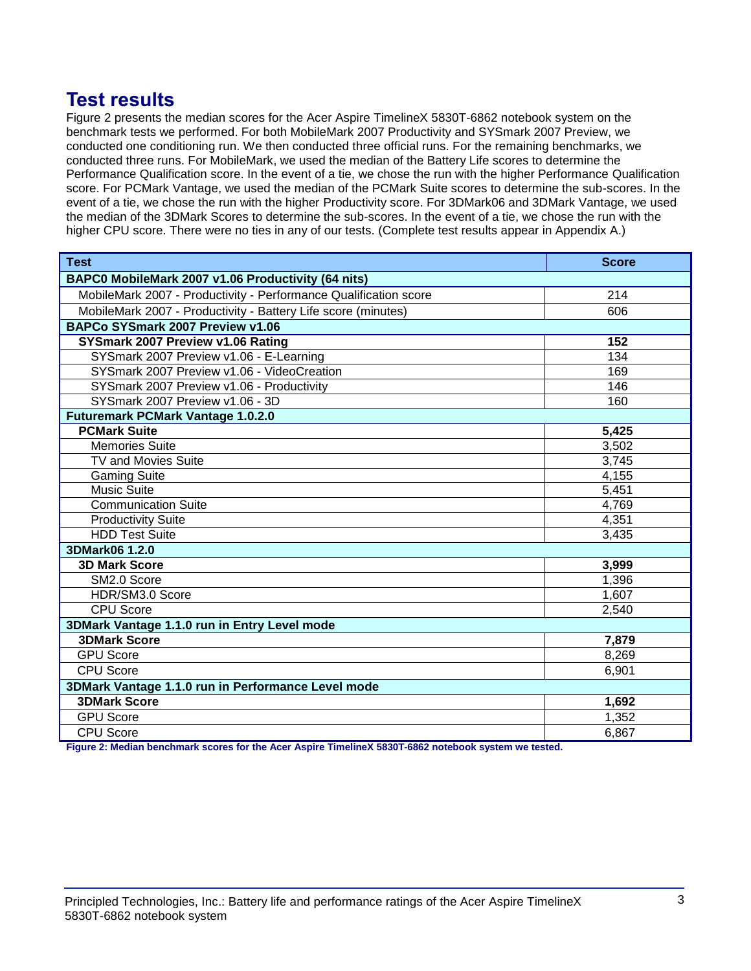## **Test results**

Figure 2 presents the median scores for the Acer Aspire TimelineX 5830T-6862 notebook system on the benchmark tests we performed. For both MobileMark 2007 Productivity and SYSmark 2007 Preview, we conducted one conditioning run. We then conducted three official runs. For the remaining benchmarks, we conducted three runs. For MobileMark, we used the median of the Battery Life scores to determine the Performance Qualification score. In the event of a tie, we chose the run with the higher Performance Qualification score. For PCMark Vantage, we used the median of the PCMark Suite scores to determine the sub-scores. In the event of a tie, we chose the run with the higher Productivity score. For 3DMark06 and 3DMark Vantage, we used the median of the 3DMark Scores to determine the sub-scores. In the event of a tie, we chose the run with the higher CPU score. There were no ties in any of our tests. (Complete test results appear in Appendix A.)

| <b>Test</b>                                                      | <b>Score</b> |  |
|------------------------------------------------------------------|--------------|--|
| BAPC0 MobileMark 2007 v1.06 Productivity (64 nits)               |              |  |
| MobileMark 2007 - Productivity - Performance Qualification score | 214          |  |
| MobileMark 2007 - Productivity - Battery Life score (minutes)    | 606          |  |
| BAPCo SYSmark 2007 Preview v1.06                                 |              |  |
| SYSmark 2007 Preview v1.06 Rating                                | 152          |  |
| SYSmark 2007 Preview v1.06 - E-Learning                          | 134          |  |
| SYSmark 2007 Preview v1.06 - VideoCreation                       | 169          |  |
| SYSmark 2007 Preview v1.06 - Productivity                        | 146          |  |
| SYSmark 2007 Preview v1.06 - 3D                                  | 160          |  |
| <b>Futuremark PCMark Vantage 1.0.2.0</b>                         |              |  |
| <b>PCMark Suite</b>                                              | 5,425        |  |
| <b>Memories Suite</b>                                            | 3,502        |  |
| <b>TV and Movies Suite</b>                                       | 3,745        |  |
| <b>Gaming Suite</b>                                              | 4,155        |  |
| <b>Music Suite</b>                                               | 5,451        |  |
| <b>Communication Suite</b>                                       | 4,769        |  |
| <b>Productivity Suite</b>                                        | 4,351        |  |
| <b>HDD Test Suite</b>                                            | 3,435        |  |
| 3DMark06 1.2.0                                                   |              |  |
| <b>3D Mark Score</b>                                             | 3,999        |  |
| SM2.0 Score                                                      | 1,396        |  |
| HDR/SM3.0 Score                                                  | 1,607        |  |
| <b>CPU Score</b>                                                 | 2,540        |  |
| 3DMark Vantage 1.1.0 run in Entry Level mode                     |              |  |
| <b>3DMark Score</b>                                              | 7,879        |  |
| <b>GPU Score</b>                                                 | 8,269        |  |
| <b>CPU Score</b>                                                 | 6,901        |  |
| 3DMark Vantage 1.1.0 run in Performance Level mode               |              |  |
| <b>3DMark Score</b>                                              | 1,692        |  |
| <b>GPU Score</b>                                                 | 1,352        |  |
| <b>CPU Score</b>                                                 | 6,867        |  |

**Figure 2: Median benchmark scores for the Acer Aspire TimelineX 5830T-6862 notebook system we tested.**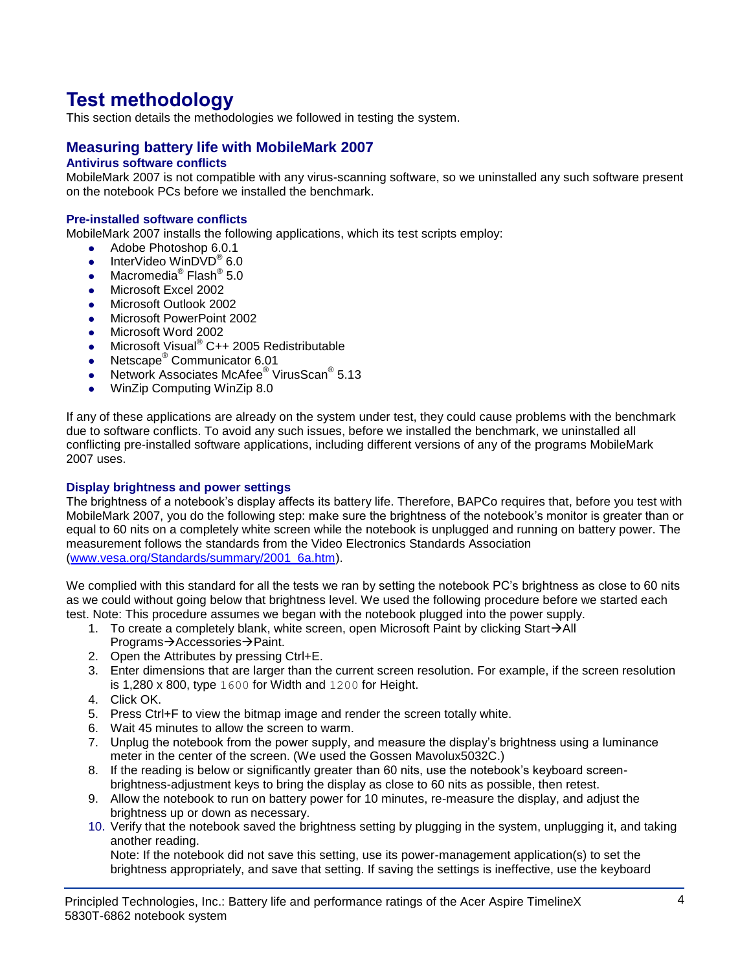# **Test methodology**

This section details the methodologies we followed in testing the system.

## **Measuring battery life with MobileMark 2007**

## **Antivirus software conflicts**

MobileMark 2007 is not compatible with any virus-scanning software, so we uninstalled any such software present on the notebook PCs before we installed the benchmark.

## **Pre-installed software conflicts**

MobileMark 2007 installs the following applications, which its test scripts employ:

- Adobe Photoshop 6.0.1
- InterVideo WinDVD $^{\circ}$  6.0
- Macromedia® Flash® 5.0
- Microsoft Excel 2002
- Microsoft Outlook 2002
- **Microsoft PowerPoint 2002**
- Microsoft Word 2002
- Microsoft Visual<sup>®</sup> C++ 2005 Redistributable
- Netscape<sup>®</sup> Communicator 6.01
- Network Associates McAfee<sup>®</sup> VirusScan<sup>®</sup> 5.13
- WinZip Computing WinZip 8.0

If any of these applications are already on the system under test, they could cause problems with the benchmark due to software conflicts. To avoid any such issues, before we installed the benchmark, we uninstalled all conflicting pre-installed software applications, including different versions of any of the programs MobileMark 2007 uses.

#### **Display brightness and power settings**

The brightness of a notebook's display affects its battery life. Therefore, BAPCo requires that, before you test with MobileMark 2007, you do the following step: make sure the brightness of the notebook's monitor is greater than or equal to 60 nits on a completely white screen while the notebook is unplugged and running on battery power. The measurement follows the standards from the Video Electronics Standards Association [\(www.vesa.org/Standards/summary/2001\\_6a.htm\)](http://www.vesa.org/Standards/summary/2001_6a.htm).

We complied with this standard for all the tests we ran by setting the notebook PC's brightness as close to 60 nits as we could without going below that brightness level. We used the following procedure before we started each test. Note: This procedure assumes we began with the notebook plugged into the power supply.

- 1. To create a completely blank, white screen, open Microsoft Paint by clicking Start $\rightarrow$ All Programs→Accessories→Paint.
- 2. Open the Attributes by pressing Ctrl+E.
- 3. Enter dimensions that are larger than the current screen resolution. For example, if the screen resolution is 1,280 x 800, type 1600 for Width and 1200 for Height.
- 4. Click OK.
- 5. Press Ctrl+F to view the bitmap image and render the screen totally white.
- 6. Wait 45 minutes to allow the screen to warm.
- 7. Unplug the notebook from the power supply, and measure the display's brightness using a luminance meter in the center of the screen. (We used the Gossen Mavolux5032C.)
- 8. If the reading is below or significantly greater than 60 nits, use the notebook's keyboard screenbrightness-adjustment keys to bring the display as close to 60 nits as possible, then retest.
- 9. Allow the notebook to run on battery power for 10 minutes, re-measure the display, and adjust the brightness up or down as necessary.
- 10. Verify that the notebook saved the brightness setting by plugging in the system, unplugging it, and taking another reading.

Note: If the notebook did not save this setting, use its power-management application(s) to set the brightness appropriately, and save that setting. If saving the settings is ineffective, use the keyboard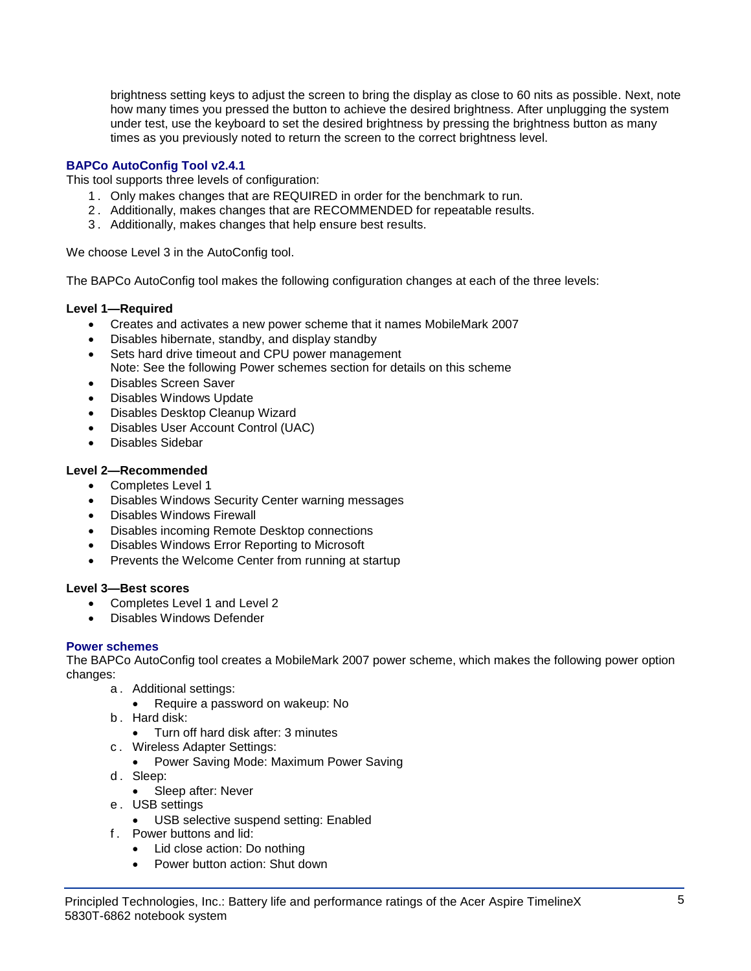brightness setting keys to adjust the screen to bring the display as close to 60 nits as possible. Next, note how many times you pressed the button to achieve the desired brightness. After unplugging the system under test, use the keyboard to set the desired brightness by pressing the brightness button as many times as you previously noted to return the screen to the correct brightness level.

## **BAPCo AutoConfig Tool v2.4.1**

This tool supports three levels of configuration:

- 1 . Only makes changes that are REQUIRED in order for the benchmark to run.
- 2 . Additionally, makes changes that are RECOMMENDED for repeatable results.
- 3 . Additionally, makes changes that help ensure best results.

We choose Level 3 in the AutoConfig tool.

The BAPCo AutoConfig tool makes the following configuration changes at each of the three levels:

## **Level 1—Required**

- Creates and activates a new power scheme that it names MobileMark 2007
- Disables hibernate, standby, and display standby
- Sets hard drive timeout and CPU power management Note: See the following Power schemes section for details on this scheme
- Disables Screen Saver
- Disables Windows Update
- Disables Desktop Cleanup Wizard
- Disables User Account Control (UAC)
- Disables Sidebar

## **Level 2—Recommended**

- Completes Level 1
- Disables Windows Security Center warning messages
- Disables Windows Firewall
- Disables incoming Remote Desktop connections
- Disables Windows Error Reporting to Microsoft
- Prevents the Welcome Center from running at startup

#### **Level 3—Best scores**

- Completes Level 1 and Level 2
- Disables Windows Defender

## **Power schemes**

The BAPCo AutoConfig tool creates a MobileMark 2007 power scheme, which makes the following power option changes:

- a . Additional settings:
	- Require a password on wakeup: No
- b . Hard disk:
	- Turn off hard disk after: 3 minutes
- c . Wireless Adapter Settings:
	- Power Saving Mode: Maximum Power Saving
- d. Sleep:
	- Sleep after: Never
- e . USB settings
	- USB selective suspend setting: Enabled
- f . Power buttons and lid:
	- Lid close action: Do nothing
	- Power button action: Shut down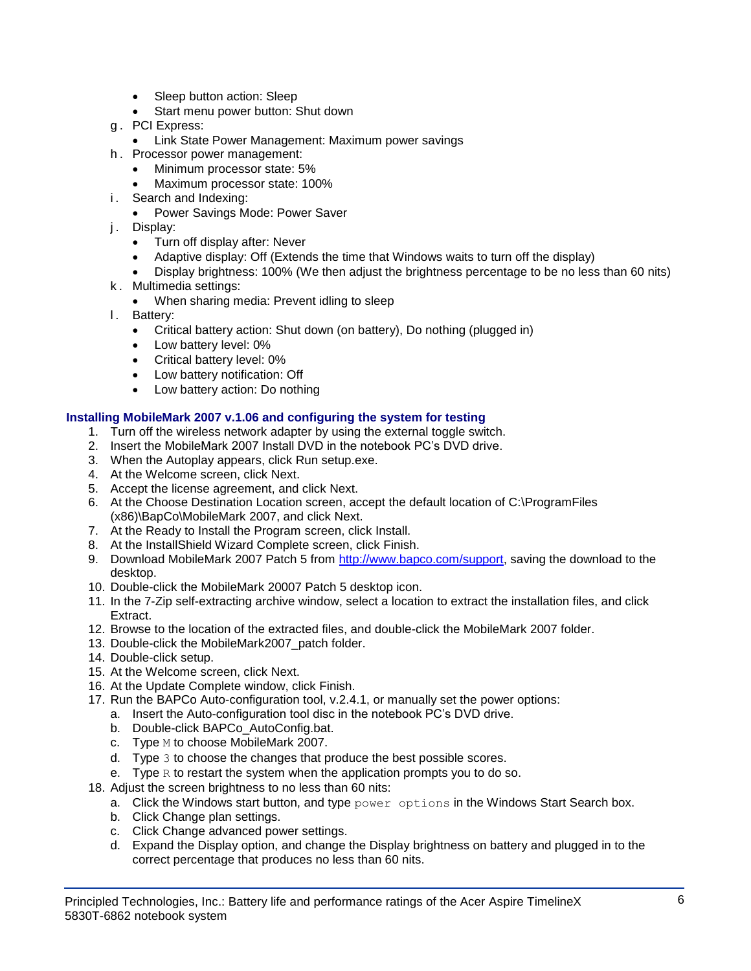- Sleep button action: Sleep
- Start menu power button: Shut down
- g . PCI Express:
	- **Link State Power Management: Maximum power savings**
- h . Processor power management:
	- Minimum processor state: 5%
	- Maximum processor state: 100%
- i. Search and Indexing:
	- Power Savings Mode: Power Saver
- j. Display:
	- Turn off display after: Never
	- Adaptive display: Off (Extends the time that Windows waits to turn off the display)
	- Display brightness: 100% (We then adjust the brightness percentage to be no less than 60 nits)
- k . Multimedia settings:
	- When sharing media: Prevent idling to sleep
- l. Battery:
	- Critical battery action: Shut down (on battery), Do nothing (plugged in)
	- Low battery level: 0%
	- Critical battery level: 0%
	- Low battery notification: Off
	- Low battery action: Do nothing

### **Installing MobileMark 2007 v.1.06 and configuring the system for testing**

- 1. Turn off the wireless network adapter by using the external toggle switch.
- 2. Insert the MobileMark 2007 Install DVD in the notebook PC's DVD drive.
- 3. When the Autoplay appears, click Run setup.exe.
- 4. At the Welcome screen, click Next.
- 5. Accept the license agreement, and click Next.
- 6. At the Choose Destination Location screen, accept the default location of C:\ProgramFiles (x86)\BapCo\MobileMark 2007, and click Next.
- 7. At the Ready to Install the Program screen, click Install.
- 8. At the InstallShield Wizard Complete screen, click Finish.
- 9. Download MobileMark 2007 Patch 5 from [http://www.bapco.com/support,](http://www.bapco.com/support) saving the download to the desktop.
- 10. Double-click the MobileMark 20007 Patch 5 desktop icon.
- 11. In the 7-Zip self-extracting archive window, select a location to extract the installation files, and click Extract.
- 12. Browse to the location of the extracted files, and double-click the MobileMark 2007 folder.
- 13. Double-click the MobileMark2007\_patch folder.
- 14. Double-click setup.
- 15. At the Welcome screen, click Next.
- 16. At the Update Complete window, click Finish.
- 17. Run the BAPCo Auto-configuration tool, v.2.4.1, or manually set the power options:
	- a. Insert the Auto-configuration tool disc in the notebook PC's DVD drive.
	- b. Double-click BAPCo\_AutoConfig.bat.
	- c. Type M to choose MobileMark 2007.
	- d. Type 3 to choose the changes that produce the best possible scores.
	- e. Type  $R$  to restart the system when the application prompts you to do so.
- 18. Adjust the screen brightness to no less than 60 nits:
	- a. Click the Windows start button, and type  $power$  options in the Windows Start Search box.
	- b. Click Change plan settings.
	- c. Click Change advanced power settings.
	- d. Expand the Display option, and change the Display brightness on battery and plugged in to the correct percentage that produces no less than 60 nits.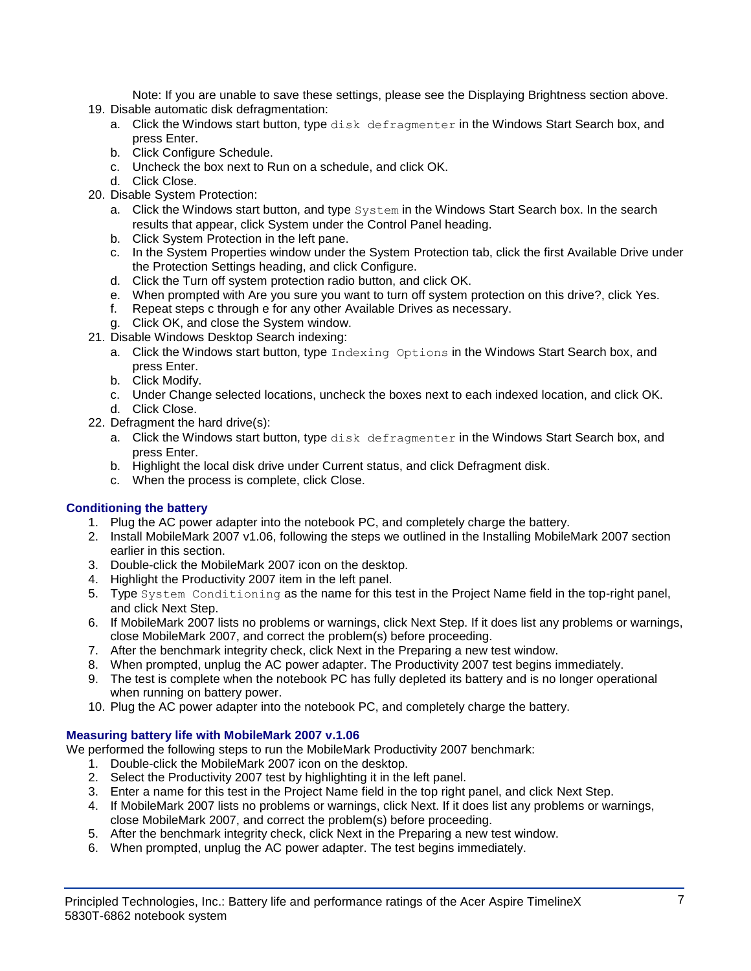Note: If you are unable to save these settings, please see the Displaying Brightness section above.

- 19. Disable automatic disk defragmentation:
	- a. Click the Windows start button, type disk defragmenter in the Windows Start Search box, and press Enter.
	- b. Click Configure Schedule.
	- c. Uncheck the box next to Run on a schedule, and click OK.
	- d. Click Close.
- 20. Disable System Protection:
	- a. Click the Windows start button, and type System in the Windows Start Search box. In the search results that appear, click System under the Control Panel heading.
	- b. Click System Protection in the left pane.
	- c. In the System Properties window under the System Protection tab, click the first Available Drive under the Protection Settings heading, and click Configure.
	- d. Click the Turn off system protection radio button, and click OK.
	- e. When prompted with Are you sure you want to turn off system protection on this drive?, click Yes.
	- f. Repeat steps c through e for any other Available Drives as necessary.
	- g. Click OK, and close the System window.
- 21. Disable Windows Desktop Search indexing:
	- a. Click the Windows start button, type Indexing Options in the Windows Start Search box, and press Enter.
	- b. Click Modify.
	- c. Under Change selected locations, uncheck the boxes next to each indexed location, and click OK. d. Click Close.
- 22. Defragment the hard drive(s):
	- a. Click the Windows start button, type disk defragmenter in the Windows Start Search box, and press Enter.
	- b. Highlight the local disk drive under Current status, and click Defragment disk.
	- c. When the process is complete, click Close.

## **Conditioning the battery**

- 1. Plug the AC power adapter into the notebook PC, and completely charge the battery.
- 2. Install MobileMark 2007 v1.06, following the steps we outlined in the Installing MobileMark 2007 section earlier in this section.
- 3. Double-click the MobileMark 2007 icon on the desktop.
- 4. Highlight the Productivity 2007 item in the left panel.
- 5. Type System Conditioning as the name for this test in the Project Name field in the top-right panel, and click Next Step.
- 6. If MobileMark 2007 lists no problems or warnings, click Next Step. If it does list any problems or warnings, close MobileMark 2007, and correct the problem(s) before proceeding.
- 7. After the benchmark integrity check, click Next in the Preparing a new test window.
- 8. When prompted, unplug the AC power adapter. The Productivity 2007 test begins immediately.
- 9. The test is complete when the notebook PC has fully depleted its battery and is no longer operational when running on battery power.
- 10. Plug the AC power adapter into the notebook PC, and completely charge the battery.

## **Measuring battery life with MobileMark 2007 v.1.06**

We performed the following steps to run the MobileMark Productivity 2007 benchmark:

- 1. Double-click the MobileMark 2007 icon on the desktop.
- 2. Select the Productivity 2007 test by highlighting it in the left panel.
- 3. Enter a name for this test in the Project Name field in the top right panel, and click Next Step.
- 4. If MobileMark 2007 lists no problems or warnings, click Next. If it does list any problems or warnings, close MobileMark 2007, and correct the problem(s) before proceeding.
- 5. After the benchmark integrity check, click Next in the Preparing a new test window.
- 6. When prompted, unplug the AC power adapter. The test begins immediately.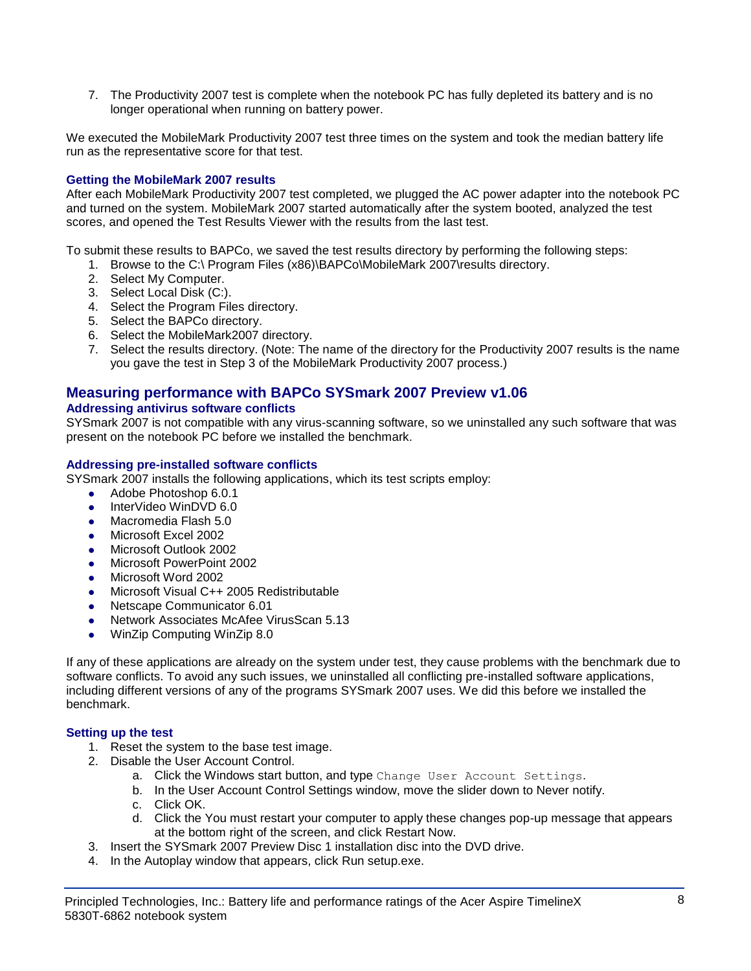7. The Productivity 2007 test is complete when the notebook PC has fully depleted its battery and is no longer operational when running on battery power.

We executed the MobileMark Productivity 2007 test three times on the system and took the median battery life run as the representative score for that test.

## **Getting the MobileMark 2007 results**

After each MobileMark Productivity 2007 test completed, we plugged the AC power adapter into the notebook PC and turned on the system. MobileMark 2007 started automatically after the system booted, analyzed the test scores, and opened the Test Results Viewer with the results from the last test.

To submit these results to BAPCo, we saved the test results directory by performing the following steps:

- 1. Browse to the C:\ Program Files (x86)\BAPCo\MobileMark 2007\results directory.
- 2. Select My Computer.
- 3. Select Local Disk (C:).
- 4. Select the Program Files directory.
- 5. Select the BAPCo directory.
- 6. Select the MobileMark2007 directory.
- 7. Select the results directory. (Note: The name of the directory for the Productivity 2007 results is the name you gave the test in Step 3 of the MobileMark Productivity 2007 process.)

## **Measuring performance with BAPCo SYSmark 2007 Preview v1.06**

### **Addressing antivirus software conflicts**

SYSmark 2007 is not compatible with any virus-scanning software, so we uninstalled any such software that was present on the notebook PC before we installed the benchmark.

### **Addressing pre-installed software conflicts**

SYSmark 2007 installs the following applications, which its test scripts employ:

- Adobe Photoshop 6.0.1
- InterVideo WinDVD 6.0
- Macromedia Flash 5.0
- Microsoft Excel 2002
- Microsoft Outlook 2002
- Microsoft PowerPoint 2002
- Microsoft Word 2002
- Microsoft Visual C++ 2005 Redistributable
- Netscape Communicator 6.01
- Network Associates McAfee VirusScan 5.13
- WinZip Computing WinZip 8.0

If any of these applications are already on the system under test, they cause problems with the benchmark due to software conflicts. To avoid any such issues, we uninstalled all conflicting pre-installed software applications, including different versions of any of the programs SYSmark 2007 uses. We did this before we installed the benchmark.

#### **Setting up the test**

- 1. Reset the system to the base test image.
- 2. Disable the User Account Control.
	- a. Click the Windows start button, and type Change User Account Settings.
	- b. In the User Account Control Settings window, move the slider down to Never notify.
	- c. Click OK.
	- d. Click the You must restart your computer to apply these changes pop-up message that appears at the bottom right of the screen, and click Restart Now.
- 3. Insert the SYSmark 2007 Preview Disc 1 installation disc into the DVD drive.
- 4. In the Autoplay window that appears, click Run setup.exe.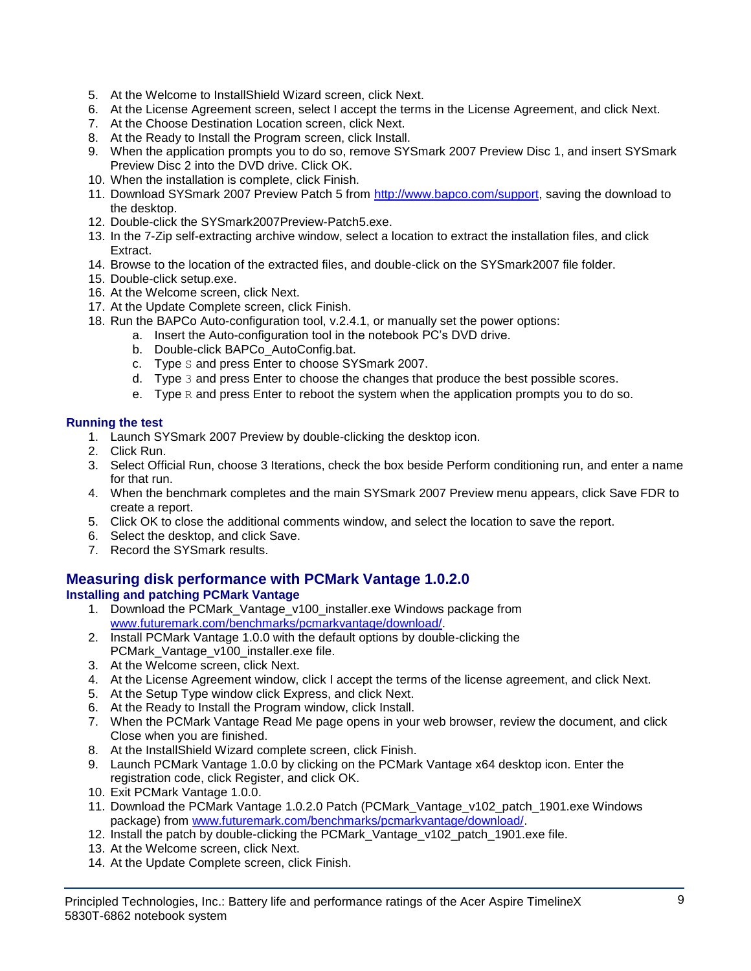- 5. At the Welcome to InstallShield Wizard screen, click Next.
- 6. At the License Agreement screen, select I accept the terms in the License Agreement, and click Next.
- 7. At the Choose Destination Location screen, click Next.
- 8. At the Ready to Install the Program screen, click Install.
- 9. When the application prompts you to do so, remove SYSmark 2007 Preview Disc 1, and insert SYSmark Preview Disc 2 into the DVD drive. Click OK.
- 10. When the installation is complete, click Finish.
- 11. Download SYSmark 2007 Preview Patch 5 from [http://www.bapco.com/support,](http://www.bapco.com/support) saving the download to the desktop.
- 12. Double-click the SYSmark2007Preview-Patch5.exe.
- 13. In the 7-Zip self-extracting archive window, select a location to extract the installation files, and click Extract.
- 14. Browse to the location of the extracted files, and double-click on the SYSmark2007 file folder.
- 15. Double-click setup.exe.
- 16. At the Welcome screen, click Next.
- 17. At the Update Complete screen, click Finish.
- 18. Run the BAPCo Auto-configuration tool, v.2.4.1, or manually set the power options:
	- a. Insert the Auto-configuration tool in the notebook PC's DVD drive.
		- b. Double-click BAPCo\_AutoConfig.bat.
		- c. Type S and press Enter to choose SYSmark 2007.
		- d. Type 3 and press Enter to choose the changes that produce the best possible scores.
		- e. Type  $R$  and press Enter to reboot the system when the application prompts you to do so.

## **Running the test**

- 1. Launch SYSmark 2007 Preview by double-clicking the desktop icon.
- 2. Click Run.
- 3. Select Official Run, choose 3 Iterations, check the box beside Perform conditioning run, and enter a name for that run.
- 4. When the benchmark completes and the main SYSmark 2007 Preview menu appears, click Save FDR to create a report.
- 5. Click OK to close the additional comments window, and select the location to save the report.
- 6. Select the desktop, and click Save.
- 7. Record the SYSmark results.

## **Measuring disk performance with PCMark Vantage 1.0.2.0**

## **Installing and patching PCMark Vantage**

- 1. Download the PCMark\_Vantage\_v100\_installer.exe Windows package from [www.futuremark.com/benchmarks/pcmarkvantage/download/.](http://www.futuremark.com/benchmarks/pcmarkvantage/download/)
- 2. Install PCMark Vantage 1.0.0 with the default options by double-clicking the PCMark\_Vantage\_v100\_installer.exe file.
- 3. At the Welcome screen, click Next.
- 4. At the License Agreement window, click I accept the terms of the license agreement, and click Next.
- 5. At the Setup Type window click Express, and click Next.
- 6. At the Ready to Install the Program window, click Install.
- 7. When the PCMark Vantage Read Me page opens in your web browser, review the document, and click Close when you are finished.
- 8. At the InstallShield Wizard complete screen, click Finish.
- 9. Launch PCMark Vantage 1.0.0 by clicking on the PCMark Vantage x64 desktop icon. Enter the registration code, click Register, and click OK.
- 10. Exit PCMark Vantage 1.0.0.
- 11. Download the PCMark Vantage 1.0.2.0 Patch (PCMark\_Vantage\_v102\_patch\_1901.exe Windows package) from [www.futuremark.com/benchmarks/pcmarkvantage/download/.](http://www.futuremark.com/benchmarks/pcmarkvantage/download/)
- 12. Install the patch by double-clicking the PCMark\_Vantage\_v102\_patch\_1901.exe file.
- 13. At the Welcome screen, click Next.
- 14. At the Update Complete screen, click Finish.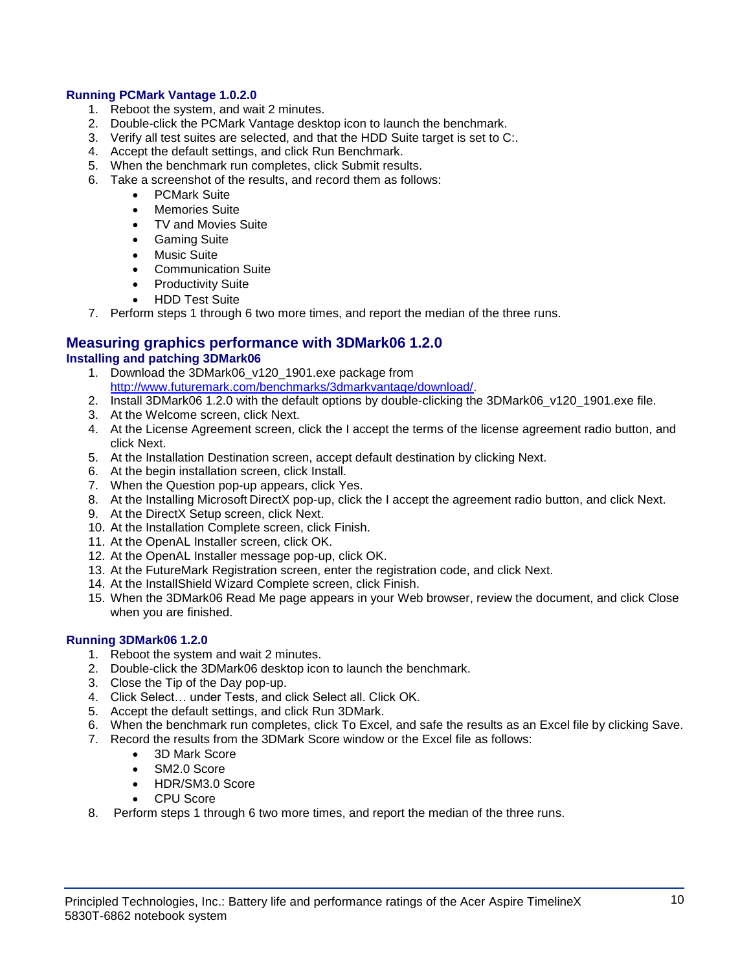### **Running PCMark Vantage 1.0.2.0**

- 1. Reboot the system, and wait 2 minutes.
- 2. Double-click the PCMark Vantage desktop icon to launch the benchmark.
- 3. Verify all test suites are selected, and that the HDD Suite target is set to C:.
- 4. Accept the default settings, and click Run Benchmark.
- 5. When the benchmark run completes, click Submit results.
- 6. Take a screenshot of the results, and record them as follows:
	- PCMark Suite
	- Memories Suite
	- TV and Movies Suite
	- **•** Gaming Suite
	- Music Suite
	- Communication Suite
	- Productivity Suite
	- HDD Test Suite
- 7. Perform steps 1 through 6 two more times, and report the median of the three runs.

### **Measuring graphics performance with 3DMark06 1.2.0 Installing and patching 3DMark06**

- 1. Download the 3DMark06 v120 1901.exe package from [http://www.futuremark.com/benchmarks/3dmarkvantage/download/.](http://www.futuremark.com/benchmarks/3dmarkvantage/download/)
- 2. Install 3DMark06 1.2.0 with the default options by double-clicking the 3DMark06\_v120\_1901.exe file.
- 3. At the Welcome screen, click Next.
- 4. At the License Agreement screen, click the I accept the terms of the license agreement radio button, and click Next.
- 5. At the Installation Destination screen, accept default destination by clicking Next.
- 6. At the begin installation screen, click Install.
- 7. When the Question pop-up appears, click Yes.
- 8. At the Installing Microsoft DirectX pop-up, click the I accept the agreement radio button, and click Next.
- 9. At the DirectX Setup screen, click Next.
- 10. At the Installation Complete screen, click Finish.
- 11. At the OpenAL Installer screen, click OK.
- 12. At the OpenAL Installer message pop-up, click OK.
- 13. At the FutureMark Registration screen, enter the registration code, and click Next.
- 14. At the InstallShield Wizard Complete screen, click Finish.
- 15. When the 3DMark06 Read Me page appears in your Web browser, review the document, and click Close when you are finished.

## **Running 3DMark06 1.2.0**

- 1. Reboot the system and wait 2 minutes.
- 2. Double-click the 3DMark06 desktop icon to launch the benchmark.
- 3. Close the Tip of the Day pop-up.
- 4. Click Select… under Tests, and click Select all. Click OK.
- 5. Accept the default settings, and click Run 3DMark.
- 6. When the benchmark run completes, click To Excel, and safe the results as an Excel file by clicking Save.
- 7. Record the results from the 3DMark Score window or the Excel file as follows:
	- 3D Mark Score
	- SM2.0 Score
	- HDR/SM3.0 Score
	- CPU Score
- 8. Perform steps 1 through 6 two more times, and report the median of the three runs.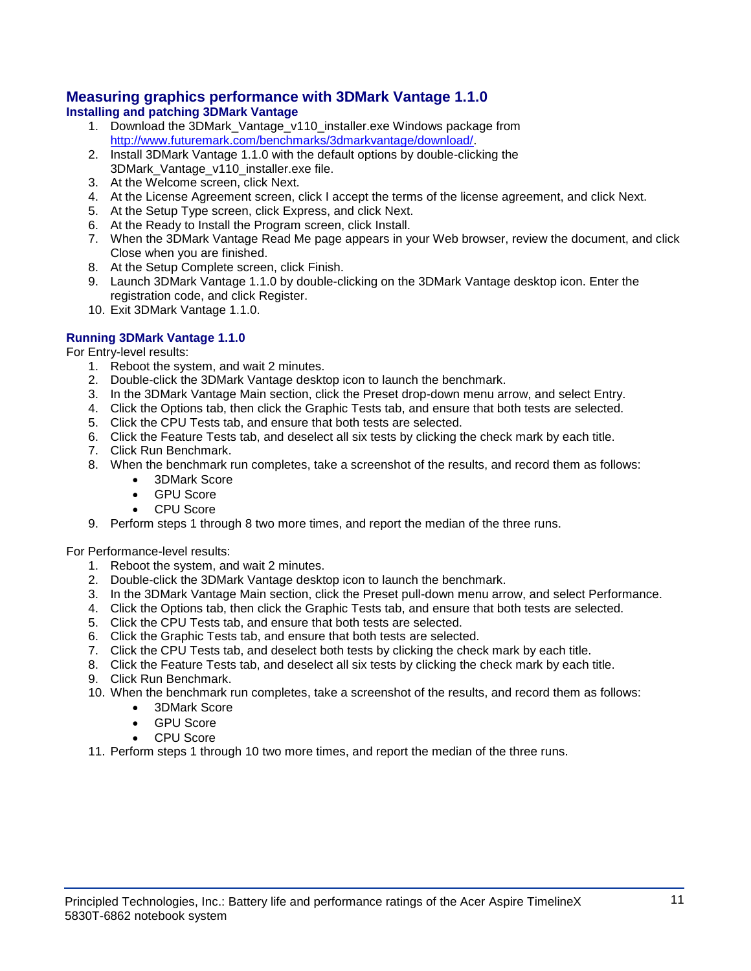### **Measuring graphics performance with 3DMark Vantage 1.1.0 Installing and patching 3DMark Vantage**

- 1. Download the 3DMark\_Vantage\_v110\_installer.exe Windows package from [http://www.futuremark.com/benchmarks/3dmarkvantage/download/.](http://www.futuremark.com/benchmarks/3dmarkvantage/download/)
- 2. Install 3DMark Vantage 1.1.0 with the default options by double-clicking the 3DMark\_Vantage\_v110\_installer.exe file.
- 3. At the Welcome screen, click Next.
- 4. At the License Agreement screen, click I accept the terms of the license agreement, and click Next.
- 5. At the Setup Type screen, click Express, and click Next.
- 6. At the Ready to Install the Program screen, click Install.
- 7. When the 3DMark Vantage Read Me page appears in your Web browser, review the document, and click Close when you are finished.
- 8. At the Setup Complete screen, click Finish.
- 9. Launch 3DMark Vantage 1.1.0 by double-clicking on the 3DMark Vantage desktop icon. Enter the registration code, and click Register.
- 10. Exit 3DMark Vantage 1.1.0.

## **Running 3DMark Vantage 1.1.0**

For Entry-level results:

- 1. Reboot the system, and wait 2 minutes.
- 2. Double-click the 3DMark Vantage desktop icon to launch the benchmark.
- 3. In the 3DMark Vantage Main section, click the Preset drop-down menu arrow, and select Entry.
- 4. Click the Options tab, then click the Graphic Tests tab, and ensure that both tests are selected.
- 5. Click the CPU Tests tab, and ensure that both tests are selected.
- 6. Click the Feature Tests tab, and deselect all six tests by clicking the check mark by each title.
- 7. Click Run Benchmark.
- 8. When the benchmark run completes, take a screenshot of the results, and record them as follows:
	- 3DMark Score
		- GPU Score
		- CPU Score
- 9. Perform steps 1 through 8 two more times, and report the median of the three runs.

For Performance-level results:

- 1. Reboot the system, and wait 2 minutes.
- 2. Double-click the 3DMark Vantage desktop icon to launch the benchmark.
- 3. In the 3DMark Vantage Main section, click the Preset pull-down menu arrow, and select Performance.
- 4. Click the Options tab, then click the Graphic Tests tab, and ensure that both tests are selected.
- 5. Click the CPU Tests tab, and ensure that both tests are selected.
- 6. Click the Graphic Tests tab, and ensure that both tests are selected.
- 7. Click the CPU Tests tab, and deselect both tests by clicking the check mark by each title.
- 8. Click the Feature Tests tab, and deselect all six tests by clicking the check mark by each title.
- 9. Click Run Benchmark.
- 10. When the benchmark run completes, take a screenshot of the results, and record them as follows:
	- 3DMark Score
	- GPU Score
	- CPU Score
- 11. Perform steps 1 through 10 two more times, and report the median of the three runs.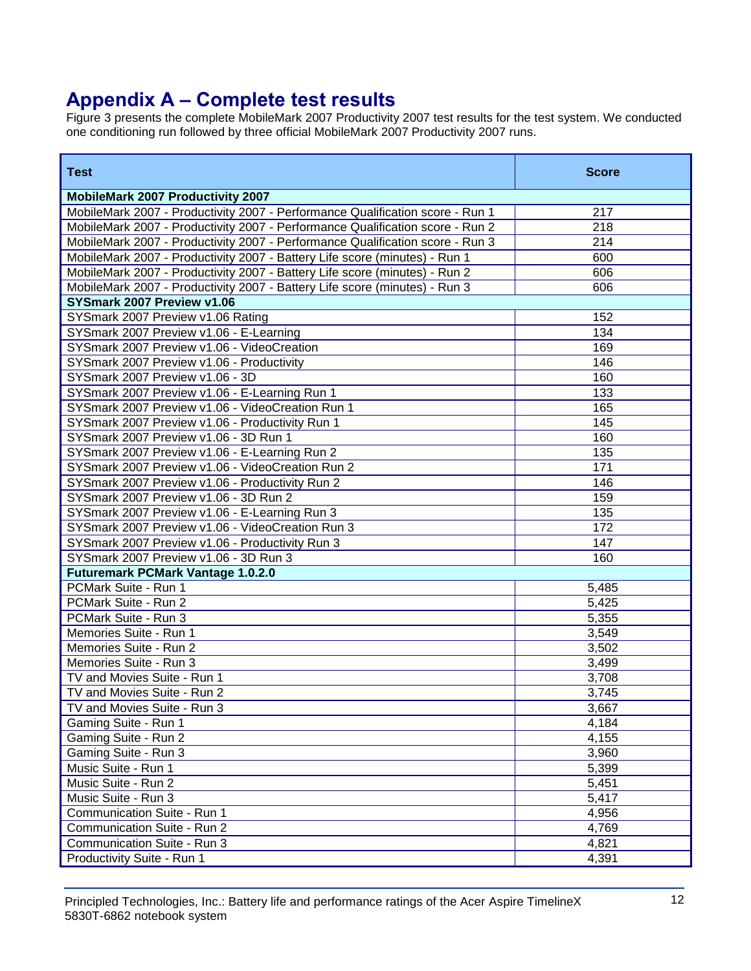# **Appendix A – Complete test results**

Figure 3 presents the complete MobileMark 2007 Productivity 2007 test results for the test system. We conducted one conditioning run followed by three official MobileMark 2007 Productivity 2007 runs.

| <b>Test</b>                                                                   | <b>Score</b> |
|-------------------------------------------------------------------------------|--------------|
| <b>MobileMark 2007 Productivity 2007</b>                                      |              |
| MobileMark 2007 - Productivity 2007 - Performance Qualification score - Run 1 | 217          |
| MobileMark 2007 - Productivity 2007 - Performance Qualification score - Run 2 | 218          |
| MobileMark 2007 - Productivity 2007 - Performance Qualification score - Run 3 | 214          |
| MobileMark 2007 - Productivity 2007 - Battery Life score (minutes) - Run 1    | 600          |
| MobileMark 2007 - Productivity 2007 - Battery Life score (minutes) - Run 2    | 606          |
| MobileMark 2007 - Productivity 2007 - Battery Life score (minutes) - Run 3    | 606          |
| SYSmark 2007 Preview v1.06                                                    |              |
| SYSmark 2007 Preview v1.06 Rating                                             | 152          |
| SYSmark 2007 Preview v1.06 - E-Learning                                       | 134          |
| SYSmark 2007 Preview v1.06 - VideoCreation                                    | 169          |
| SYSmark 2007 Preview v1.06 - Productivity                                     | 146          |
| SYSmark 2007 Preview v1.06 - 3D                                               | 160          |
| SYSmark 2007 Preview v1.06 - E-Learning Run 1                                 | 133          |
| SYSmark 2007 Preview v1.06 - VideoCreation Run 1                              | 165          |
| SYSmark 2007 Preview v1.06 - Productivity Run 1                               | 145          |
| SYSmark 2007 Preview v1.06 - 3D Run 1                                         | 160          |
| SYSmark 2007 Preview v1.06 - E-Learning Run 2                                 | 135          |
| SYSmark 2007 Preview v1.06 - VideoCreation Run 2                              | 171          |
| SYSmark 2007 Preview v1.06 - Productivity Run 2                               | 146          |
| SYSmark 2007 Preview v1.06 - 3D Run 2                                         | 159          |
| SYSmark 2007 Preview v1.06 - E-Learning Run 3                                 | 135          |
| SYSmark 2007 Preview v1.06 - VideoCreation Run 3                              | 172          |
| SYSmark 2007 Preview v1.06 - Productivity Run 3                               | 147          |
| SYSmark 2007 Preview v1.06 - 3D Run 3                                         | 160          |
| <b>Futuremark PCMark Vantage 1.0.2.0</b>                                      |              |
| PCMark Suite - Run 1                                                          | 5,485        |
| PCMark Suite - Run 2                                                          | 5,425        |
| PCMark Suite - Run 3                                                          | 5,355        |
| Memories Suite - Run 1                                                        | 3,549        |
| Memories Suite - Run 2                                                        | 3,502        |
| Memories Suite - Run 3                                                        | 3,499        |
| TV and Movies Suite - Run 1                                                   | 3,708        |
| TV and Movies Suite - Run 2                                                   | 3,745        |
| TV and Movies Suite - Run 3                                                   | 3,667        |
| Gaming Suite - Run 1                                                          | 4,184        |
| Gaming Suite - Run 2                                                          | 4,155        |
| Gaming Suite - Run 3                                                          | 3,960        |
| Music Suite - Run 1                                                           | 5,399        |
| Music Suite - Run 2                                                           | 5,451        |
| Music Suite - Run 3                                                           | 5,417        |
| Communication Suite - Run 1                                                   | 4,956        |
| Communication Suite - Run 2                                                   | 4,769        |
| Communication Suite - Run 3                                                   | 4,821        |
| Productivity Suite - Run 1                                                    | 4,391        |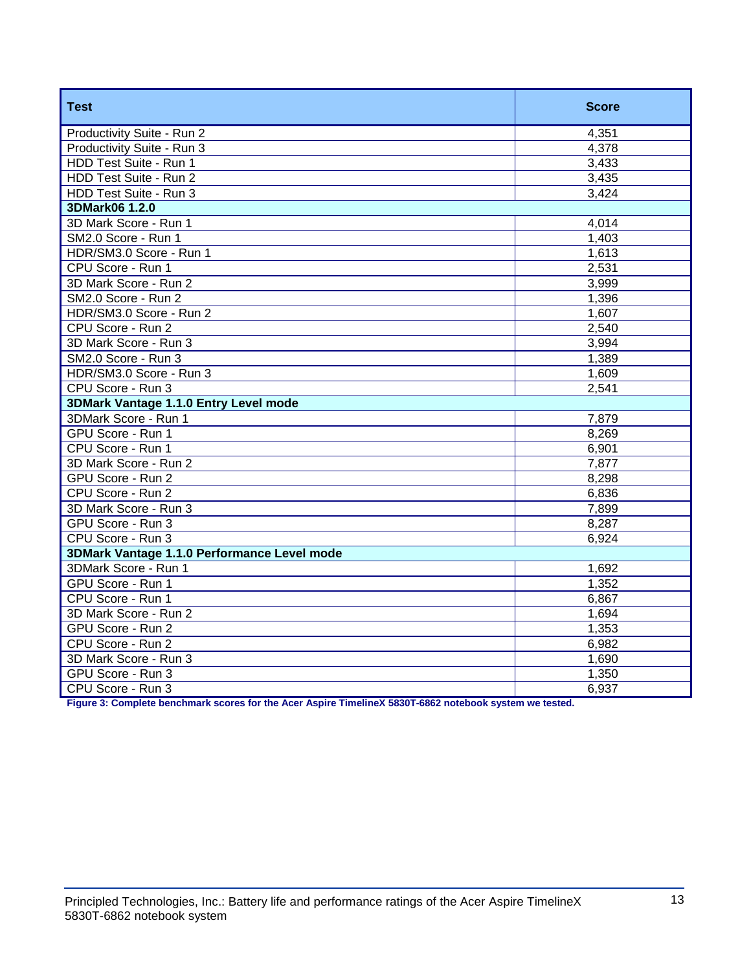| <b>Test</b>                                 | <b>Score</b> |
|---------------------------------------------|--------------|
| Productivity Suite - Run 2                  | 4,351        |
| Productivity Suite - Run 3                  | 4,378        |
| HDD Test Suite - Run 1                      | 3,433        |
| HDD Test Suite - Run 2                      | 3,435        |
| HDD Test Suite - Run 3                      | 3,424        |
| 3DMark06 1.2.0                              |              |
| 3D Mark Score - Run 1                       | 4,014        |
| SM2.0 Score - Run 1                         | 1,403        |
| HDR/SM3.0 Score - Run 1                     | 1,613        |
| CPU Score - Run 1                           | 2,531        |
| 3D Mark Score - Run 2                       | 3,999        |
| SM2.0 Score - Run 2                         | 1,396        |
| HDR/SM3.0 Score - Run 2                     | 1,607        |
| CPU Score - Run 2                           | 2,540        |
| 3D Mark Score - Run 3                       | 3,994        |
| SM2.0 Score - Run 3                         | 1,389        |
| HDR/SM3.0 Score - Run 3                     | 1,609        |
| CPU Score - Run 3                           | 2,541        |
| 3DMark Vantage 1.1.0 Entry Level mode       |              |
| 3DMark Score - Run 1                        | 7,879        |
| GPU Score - Run 1                           | 8,269        |
| CPU Score - Run 1                           | 6,901        |
| 3D Mark Score - Run 2                       | 7,877        |
| GPU Score - Run 2                           | 8,298        |
| CPU Score - Run 2                           | 6,836        |
| 3D Mark Score - Run 3                       | 7,899        |
| GPU Score - Run 3                           | 8,287        |
| CPU Score - Run 3                           | 6,924        |
| 3DMark Vantage 1.1.0 Performance Level mode |              |
| 3DMark Score - Run 1                        | 1,692        |
| GPU Score - Run 1                           | 1,352        |
| CPU Score - Run 1                           | 6,867        |
| 3D Mark Score - Run 2                       | 1,694        |
| GPU Score - Run 2                           | 1,353        |
| CPU Score - Run 2                           | 6,982        |
| 3D Mark Score - Run 3                       | 1,690        |
| GPU Score - Run 3                           | 1,350        |
| CPU Score - Run 3                           | 6,937        |

**Figure 3: Complete benchmark scores for the Acer Aspire TimelineX 5830T-6862 notebook system we tested.**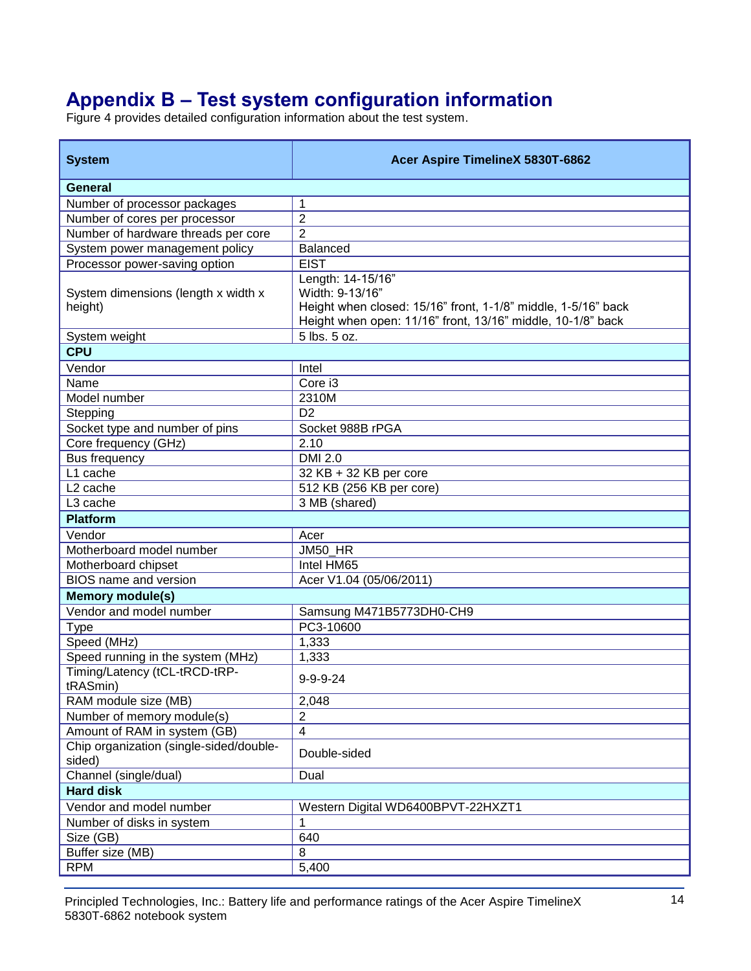# **Appendix B – Test system configuration information**

Figure 4 provides detailed configuration information about the test system.

| <b>System</b>                                     | Acer Aspire TimelineX 5830T-6862                                                                                                                                     |
|---------------------------------------------------|----------------------------------------------------------------------------------------------------------------------------------------------------------------------|
| <b>General</b>                                    |                                                                                                                                                                      |
| Number of processor packages                      | 1                                                                                                                                                                    |
| Number of cores per processor                     | $\overline{c}$                                                                                                                                                       |
| Number of hardware threads per core               | $\overline{2}$                                                                                                                                                       |
| System power management policy                    | <b>Balanced</b>                                                                                                                                                      |
| Processor power-saving option                     | <b>EIST</b>                                                                                                                                                          |
| System dimensions (length x width x<br>height)    | Length: 14-15/16"<br>Width: 9-13/16"<br>Height when closed: 15/16" front, 1-1/8" middle, 1-5/16" back<br>Height when open: 11/16" front, 13/16" middle, 10-1/8" back |
| System weight                                     | 5 lbs. 5 oz.                                                                                                                                                         |
| <b>CPU</b>                                        |                                                                                                                                                                      |
| Vendor                                            | Intel                                                                                                                                                                |
| Name                                              | $\overline{C}$ ore i3                                                                                                                                                |
| Model number                                      | 2310M                                                                                                                                                                |
| Stepping                                          | D <sub>2</sub>                                                                                                                                                       |
| Socket type and number of pins                    | Socket 988B rPGA                                                                                                                                                     |
| Core frequency (GHz)                              | 2.10                                                                                                                                                                 |
| Bus frequency                                     | <b>DMI 2.0</b>                                                                                                                                                       |
| L1 cache                                          | 32 KB + 32 KB per core                                                                                                                                               |
| L <sub>2</sub> cache                              | 512 KB (256 KB per core)                                                                                                                                             |
| L3 cache                                          | 3 MB (shared)                                                                                                                                                        |
| <b>Platform</b>                                   |                                                                                                                                                                      |
| Vendor                                            | Acer                                                                                                                                                                 |
| Motherboard model number                          | JM50_HR                                                                                                                                                              |
| Motherboard chipset                               | Intel HM65                                                                                                                                                           |
| <b>BIOS</b> name and version                      | Acer V1.04 (05/06/2011)                                                                                                                                              |
| <b>Memory module(s)</b>                           |                                                                                                                                                                      |
| Vendor and model number                           | Samsung M471B5773DH0-CH9                                                                                                                                             |
| <b>Type</b>                                       | PC3-10600                                                                                                                                                            |
| Speed (MHz)                                       | 1,333                                                                                                                                                                |
| Speed running in the system (MHz)                 | 1,333                                                                                                                                                                |
| Timing/Latency (tCL-tRCD-tRP-<br>tRASmin)         | $9 - 9 - 9 - 24$                                                                                                                                                     |
| RAM module size (MB)                              | 2,048                                                                                                                                                                |
| Number of memory module(s)                        | $\overline{2}$                                                                                                                                                       |
| Amount of RAM in system (GB)                      | $\overline{\mathbf{4}}$                                                                                                                                              |
| Chip organization (single-sided/double-<br>sided) | Double-sided                                                                                                                                                         |
| Channel (single/dual)                             | Dual                                                                                                                                                                 |
| <b>Hard disk</b>                                  |                                                                                                                                                                      |
| Vendor and model number                           | Western Digital WD6400BPVT-22HXZT1                                                                                                                                   |
| Number of disks in system                         | 1                                                                                                                                                                    |
| Size (GB)                                         | 640                                                                                                                                                                  |
| Buffer size (MB)                                  | 8                                                                                                                                                                    |
| <b>RPM</b>                                        | 5,400                                                                                                                                                                |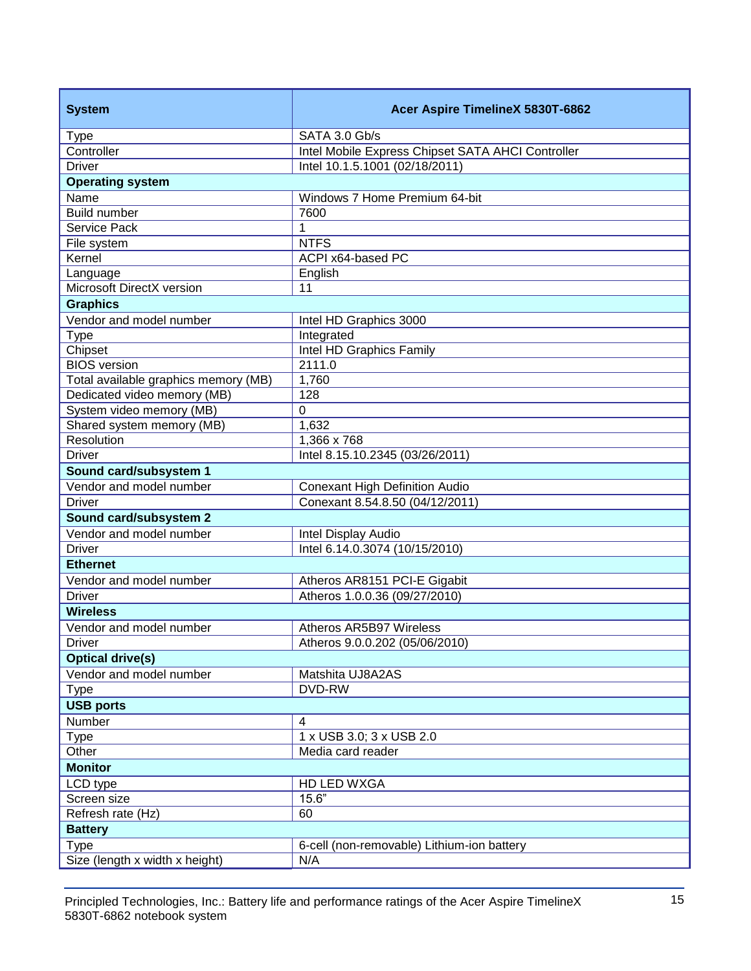| <b>System</b>                        | Acer Aspire TimelineX 5830T-6862                  |  |
|--------------------------------------|---------------------------------------------------|--|
| <b>Type</b>                          | SATA 3.0 Gb/s                                     |  |
| Controller                           | Intel Mobile Express Chipset SATA AHCI Controller |  |
| <b>Driver</b>                        | Intel 10.1.5.1001 (02/18/2011)                    |  |
| <b>Operating system</b>              |                                                   |  |
| Name                                 | Windows 7 Home Premium 64-bit                     |  |
| Build number                         | 7600                                              |  |
| Service Pack                         | 1                                                 |  |
| File system                          | <b>NTFS</b>                                       |  |
| Kernel                               | ACPI x64-based PC                                 |  |
| Language                             | English                                           |  |
| Microsoft DirectX version            | 11                                                |  |
| <b>Graphics</b>                      |                                                   |  |
| Vendor and model number              | Intel HD Graphics 3000                            |  |
| <b>Type</b>                          | Integrated                                        |  |
| Chipset                              | Intel HD Graphics Family                          |  |
| <b>BIOS</b> version                  | 2111.0                                            |  |
| Total available graphics memory (MB) | 1,760                                             |  |
| Dedicated video memory (MB)          | 128                                               |  |
| System video memory (MB)             | $\Omega$                                          |  |
| Shared system memory (MB)            | 1,632                                             |  |
| <b>Resolution</b>                    | 1,366 x 768                                       |  |
| <b>Driver</b>                        | Intel 8.15.10.2345 (03/26/2011)                   |  |
| Sound card/subsystem 1               |                                                   |  |
| Vendor and model number              | <b>Conexant High Definition Audio</b>             |  |
| <b>Driver</b>                        | Conexant 8.54.8.50 (04/12/2011)                   |  |
| Sound card/subsystem 2               |                                                   |  |
| Vendor and model number              | Intel Display Audio                               |  |
| <b>Driver</b>                        | Intel 6.14.0.3074 (10/15/2010)                    |  |
| <b>Ethernet</b>                      |                                                   |  |
| Vendor and model number              | Atheros AR8151 PCI-E Gigabit                      |  |
| <b>Driver</b>                        | Atheros 1.0.0.36 (09/27/2010)                     |  |
| <b>Wireless</b>                      |                                                   |  |
| Vendor and model number              | Atheros AR5B97 Wireless                           |  |
| <b>Driver</b>                        | Atheros 9.0.0.202 (05/06/2010)                    |  |
| <b>Optical drive(s)</b>              |                                                   |  |
| Vendor and model number              | Matshita UJ8A2AS                                  |  |
| <b>Type</b>                          | DVD-RW                                            |  |
| <b>USB ports</b>                     |                                                   |  |
| Number                               | $\overline{4}$                                    |  |
| <b>Type</b>                          | 1 x USB 3.0; 3 x USB 2.0                          |  |
| Other                                | Media card reader                                 |  |
| <b>Monitor</b>                       |                                                   |  |
| LCD type                             | HD LED WXGA                                       |  |
| Screen size                          | 15.6"                                             |  |
| Refresh rate (Hz)                    | 60                                                |  |
| <b>Battery</b>                       |                                                   |  |
| <b>Type</b>                          | 6-cell (non-removable) Lithium-ion battery        |  |
| Size (length x width x height)       | N/A                                               |  |
|                                      |                                                   |  |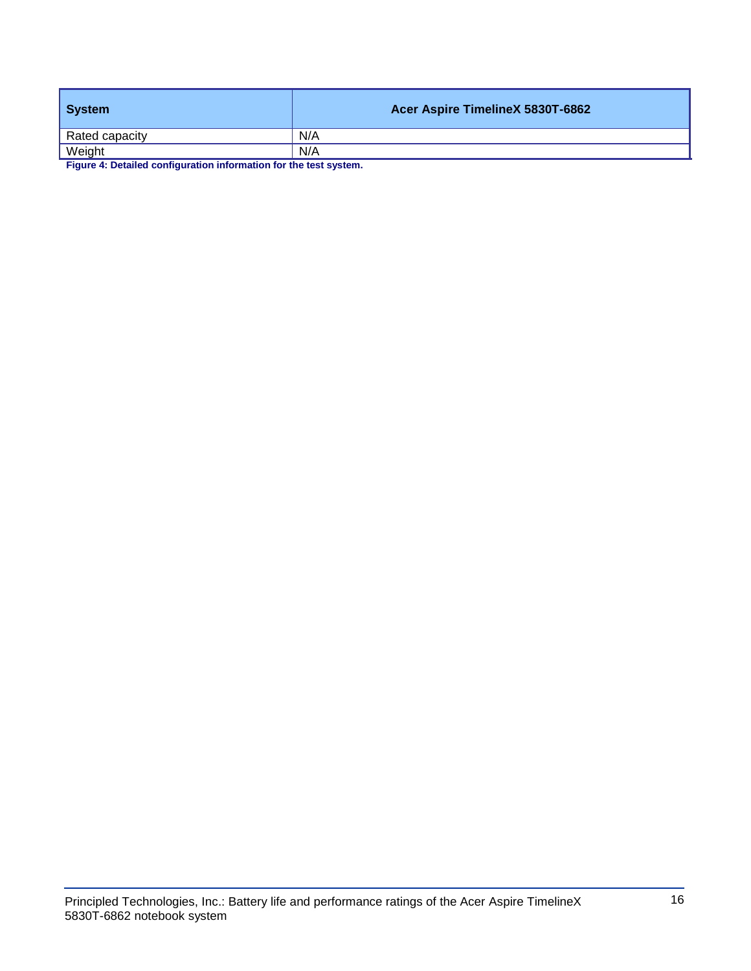| System         | Acer Aspire TimelineX 5830T-6862 |
|----------------|----------------------------------|
| Rated capacity | N/A                              |
| Weight         | N/A                              |

**Figure 4: Detailed configuration information for the test system.**